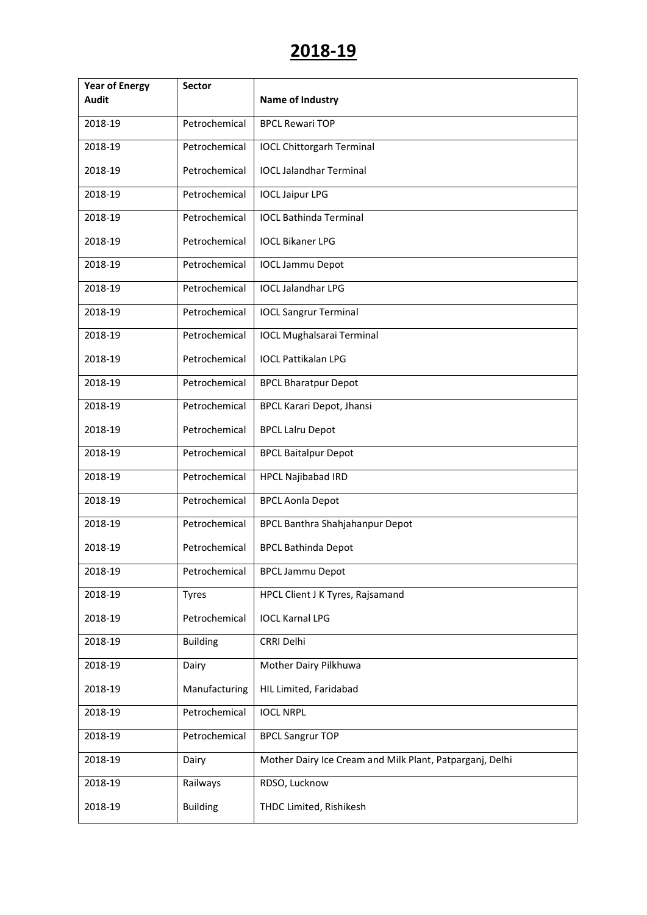| <b>Year of Energy</b> | <b>Sector</b>   |                                                          |
|-----------------------|-----------------|----------------------------------------------------------|
| <b>Audit</b>          |                 | <b>Name of Industry</b>                                  |
| 2018-19               | Petrochemical   | <b>BPCL Rewari TOP</b>                                   |
| 2018-19               | Petrochemical   | <b>IOCL Chittorgarh Terminal</b>                         |
| 2018-19               | Petrochemical   | <b>IOCL Jalandhar Terminal</b>                           |
| 2018-19               | Petrochemical   | <b>IOCL Jaipur LPG</b>                                   |
| 2018-19               | Petrochemical   | <b>IOCL Bathinda Terminal</b>                            |
| 2018-19               | Petrochemical   | <b>IOCL Bikaner LPG</b>                                  |
| 2018-19               | Petrochemical   | <b>IOCL Jammu Depot</b>                                  |
| 2018-19               | Petrochemical   | <b>IOCL Jalandhar LPG</b>                                |
| 2018-19               | Petrochemical   | <b>IOCL Sangrur Terminal</b>                             |
| 2018-19               | Petrochemical   | <b>IOCL Mughalsarai Terminal</b>                         |
| 2018-19               | Petrochemical   | <b>IOCL Pattikalan LPG</b>                               |
| 2018-19               | Petrochemical   | <b>BPCL Bharatpur Depot</b>                              |
| 2018-19               | Petrochemical   | <b>BPCL Karari Depot, Jhansi</b>                         |
| 2018-19               | Petrochemical   | <b>BPCL Lalru Depot</b>                                  |
| 2018-19               | Petrochemical   | <b>BPCL Baitalpur Depot</b>                              |
| 2018-19               | Petrochemical   | <b>HPCL Najibabad IRD</b>                                |
| 2018-19               | Petrochemical   | <b>BPCL Aonla Depot</b>                                  |
| 2018-19               | Petrochemical   | <b>BPCL Banthra Shahjahanpur Depot</b>                   |
| 2018-19               | Petrochemical   | <b>BPCL Bathinda Depot</b>                               |
| 2018-19               | Petrochemical   | <b>BPCL Jammu Depot</b>                                  |
| 2018-19               | <b>Tyres</b>    | HPCL Client J K Tyres, Rajsamand                         |
| 2018-19               | Petrochemical   | <b>IOCL Karnal LPG</b>                                   |
| 2018-19               | <b>Building</b> | CRRI Delhi                                               |
| 2018-19               | Dairy           | Mother Dairy Pilkhuwa                                    |
| 2018-19               | Manufacturing   | HIL Limited, Faridabad                                   |
| 2018-19               | Petrochemical   | <b>IOCL NRPL</b>                                         |
| 2018-19               | Petrochemical   | <b>BPCL Sangrur TOP</b>                                  |
| 2018-19               | Dairy           | Mother Dairy Ice Cream and Milk Plant, Patparganj, Delhi |
| 2018-19               | Railways        | RDSO, Lucknow                                            |
| 2018-19               | <b>Building</b> | THDC Limited, Rishikesh                                  |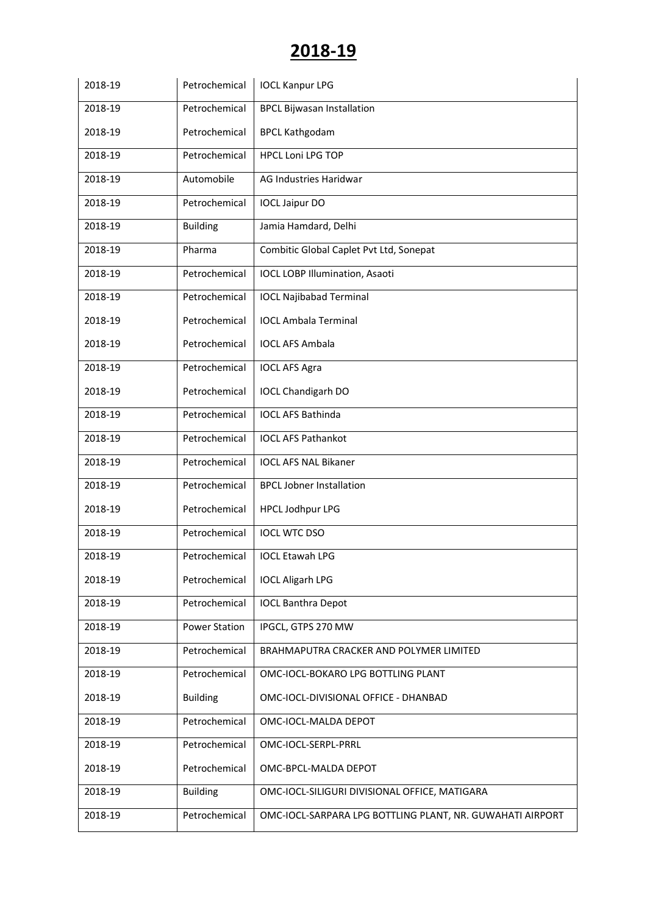| 2018-19 | Petrochemical        | <b>IOCL Kanpur LPG</b>                                    |
|---------|----------------------|-----------------------------------------------------------|
| 2018-19 | Petrochemical        | <b>BPCL Bijwasan Installation</b>                         |
| 2018-19 | Petrochemical        | <b>BPCL Kathgodam</b>                                     |
| 2018-19 | Petrochemical        | <b>HPCL Loni LPG TOP</b>                                  |
| 2018-19 | Automobile           | AG Industries Haridwar                                    |
| 2018-19 | Petrochemical        | <b>IOCL Jaipur DO</b>                                     |
| 2018-19 | <b>Building</b>      | Jamia Hamdard, Delhi                                      |
| 2018-19 | Pharma               | Combitic Global Caplet Pvt Ltd, Sonepat                   |
| 2018-19 | Petrochemical        | <b>IOCL LOBP Illumination, Asaoti</b>                     |
| 2018-19 | Petrochemical        | <b>IOCL Najibabad Terminal</b>                            |
| 2018-19 | Petrochemical        | <b>IOCL Ambala Terminal</b>                               |
| 2018-19 | Petrochemical        | <b>IOCL AFS Ambala</b>                                    |
| 2018-19 | Petrochemical        | <b>IOCL AFS Agra</b>                                      |
| 2018-19 | Petrochemical        | <b>IOCL Chandigarh DO</b>                                 |
| 2018-19 | Petrochemical        | <b>IOCL AFS Bathinda</b>                                  |
| 2018-19 | Petrochemical        | <b>IOCL AFS Pathankot</b>                                 |
| 2018-19 | Petrochemical        | <b>IOCL AFS NAL Bikaner</b>                               |
| 2018-19 | Petrochemical        | <b>BPCL Jobner Installation</b>                           |
| 2018-19 | Petrochemical        | <b>HPCL Jodhpur LPG</b>                                   |
| 2018-19 | Petrochemical        | <b>IOCL WTC DSO</b>                                       |
| 2018-19 | Petrochemical        | <b>IOCL Etawah LPG</b>                                    |
| 2018-19 | Petrochemical        | <b>IOCL Aligarh LPG</b>                                   |
| 2018-19 | Petrochemical        | <b>IOCL Banthra Depot</b>                                 |
| 2018-19 | <b>Power Station</b> | IPGCL, GTPS 270 MW                                        |
| 2018-19 | Petrochemical        | BRAHMAPUTRA CRACKER AND POLYMER LIMITED                   |
| 2018-19 | Petrochemical        | OMC-IOCL-BOKARO LPG BOTTLING PLANT                        |
| 2018-19 | <b>Building</b>      | OMC-IOCL-DIVISIONAL OFFICE - DHANBAD                      |
| 2018-19 | Petrochemical        | OMC-IOCL-MALDA DEPOT                                      |
| 2018-19 | Petrochemical        | OMC-IOCL-SERPL-PRRL                                       |
| 2018-19 | Petrochemical        | OMC-BPCL-MALDA DEPOT                                      |
| 2018-19 | <b>Building</b>      | OMC-IOCL-SILIGURI DIVISIONAL OFFICE, MATIGARA             |
| 2018-19 | Petrochemical        | OMC-IOCL-SARPARA LPG BOTTLING PLANT, NR. GUWAHATI AIRPORT |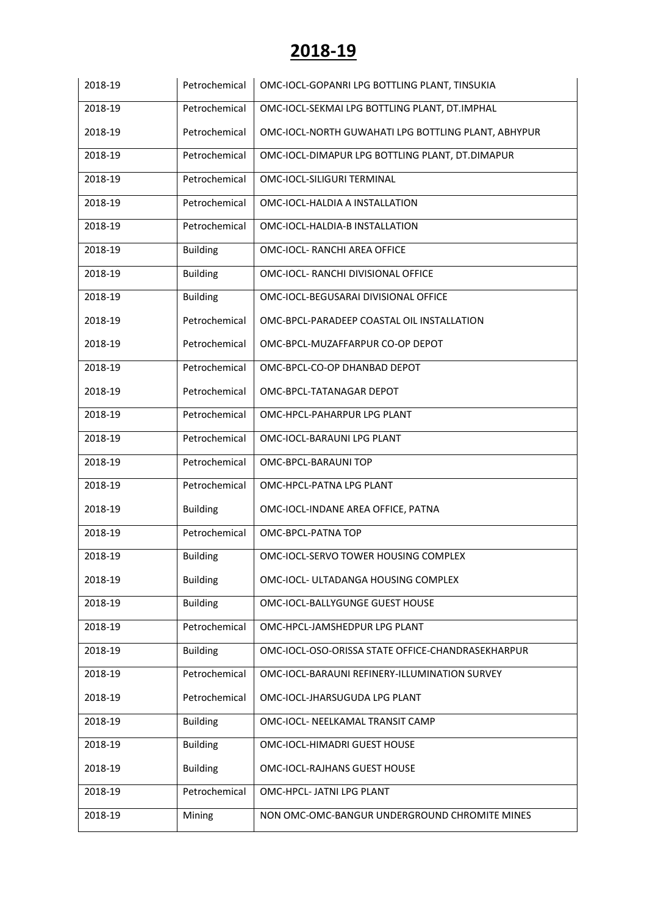| 2018-19 | Petrochemical   | OMC-IOCL-GOPANRI LPG BOTTLING PLANT, TINSUKIA       |
|---------|-----------------|-----------------------------------------------------|
| 2018-19 | Petrochemical   | OMC-IOCL-SEKMAI LPG BOTTLING PLANT, DT.IMPHAL       |
| 2018-19 | Petrochemical   | OMC-IOCL-NORTH GUWAHATI LPG BOTTLING PLANT, ABHYPUR |
| 2018-19 | Petrochemical   | OMC-IOCL-DIMAPUR LPG BOTTLING PLANT, DT.DIMAPUR     |
| 2018-19 | Petrochemical   | OMC-IOCL-SILIGURI TERMINAL                          |
| 2018-19 | Petrochemical   | OMC-IOCL-HALDIA A INSTALLATION                      |
| 2018-19 | Petrochemical   | OMC-IOCL-HALDIA-B INSTALLATION                      |
| 2018-19 | <b>Building</b> | OMC-IOCL- RANCHI AREA OFFICE                        |
| 2018-19 | <b>Building</b> | OMC-IOCL- RANCHI DIVISIONAL OFFICE                  |
| 2018-19 | <b>Building</b> | OMC-IOCL-BEGUSARAI DIVISIONAL OFFICE                |
| 2018-19 | Petrochemical   | OMC-BPCL-PARADEEP COASTAL OIL INSTALLATION          |
| 2018-19 | Petrochemical   | OMC-BPCL-MUZAFFARPUR CO-OP DEPOT                    |
| 2018-19 | Petrochemical   | OMC-BPCL-CO-OP DHANBAD DEPOT                        |
| 2018-19 | Petrochemical   | OMC-BPCL-TATANAGAR DEPOT                            |
| 2018-19 | Petrochemical   | OMC-HPCL-PAHARPUR LPG PLANT                         |
| 2018-19 | Petrochemical   | OMC-IOCL-BARAUNI LPG PLANT                          |
| 2018-19 | Petrochemical   | OMC-BPCL-BARAUNI TOP                                |
| 2018-19 | Petrochemical   | OMC-HPCL-PATNA LPG PLANT                            |
| 2018-19 | <b>Building</b> | OMC-IOCL-INDANE AREA OFFICE, PATNA                  |
| 2018-19 | Petrochemical   | OMC-BPCL-PATNA TOP                                  |
| 2018-19 | <b>Building</b> | OMC-IOCL-SERVO TOWER HOUSING COMPLEX                |
| 2018-19 | <b>Building</b> | OMC-IOCL- ULTADANGA HOUSING COMPLEX                 |
| 2018-19 | <b>Building</b> | OMC-IOCL-BALLYGUNGE GUEST HOUSE                     |
| 2018-19 | Petrochemical   | OMC-HPCL-JAMSHEDPUR LPG PLANT                       |
| 2018-19 | <b>Building</b> | OMC-IOCL-OSO-ORISSA STATE OFFICE-CHANDRASEKHARPUR   |
| 2018-19 | Petrochemical   | OMC-IOCL-BARAUNI REFINERY-ILLUMINATION SURVEY       |
| 2018-19 | Petrochemical   | OMC-IOCL-JHARSUGUDA LPG PLANT                       |
| 2018-19 | <b>Building</b> | OMC-IOCL- NEELKAMAL TRANSIT CAMP                    |
| 2018-19 | <b>Building</b> | OMC-IOCL-HIMADRI GUEST HOUSE                        |
| 2018-19 | <b>Building</b> | OMC-IOCL-RAJHANS GUEST HOUSE                        |
| 2018-19 | Petrochemical   | OMC-HPCL- JATNI LPG PLANT                           |
| 2018-19 | Mining          | NON OMC-OMC-BANGUR UNDERGROUND CHROMITE MINES       |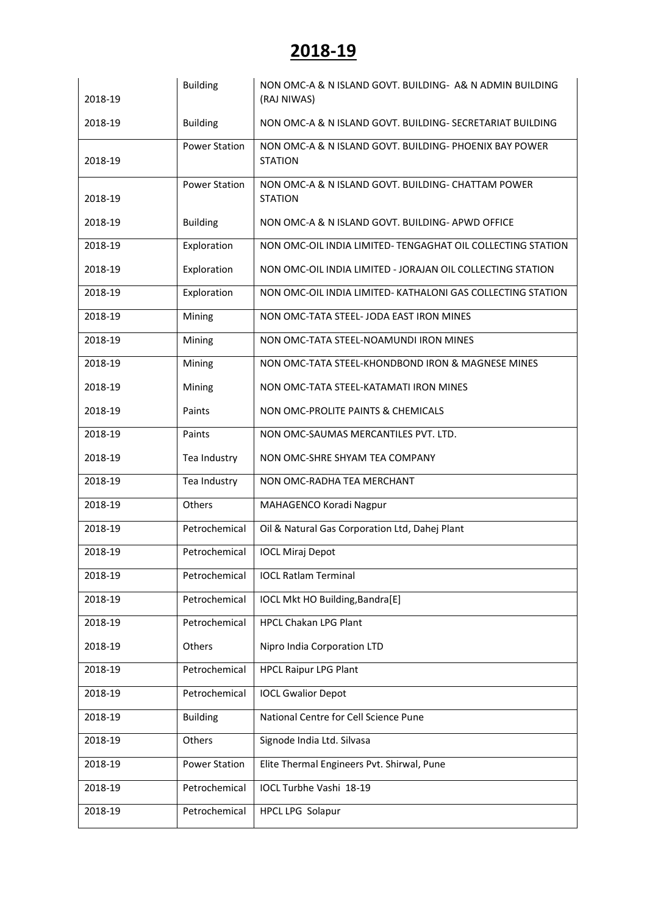| 2018-19 | <b>Building</b>      | NON OMC-A & N ISLAND GOVT, BUILDING- A& N ADMIN BUILDING<br>(RAJ NIWAS)  |
|---------|----------------------|--------------------------------------------------------------------------|
| 2018-19 | <b>Building</b>      | NON OMC-A & N ISLAND GOVT, BUILDING- SECRETARIAT BUILDING                |
| 2018-19 | <b>Power Station</b> | NON OMC-A & N ISLAND GOVT. BUILDING- PHOENIX BAY POWER<br><b>STATION</b> |
| 2018-19 | <b>Power Station</b> | NON OMC-A & N ISLAND GOVT. BUILDING- CHATTAM POWER<br><b>STATION</b>     |
| 2018-19 | <b>Building</b>      | NON OMC-A & N ISLAND GOVT. BUILDING-APWD OFFICE                          |
| 2018-19 | Exploration          | NON OMC-OIL INDIA LIMITED- TENGAGHAT OIL COLLECTING STATION              |
| 2018-19 | Exploration          | NON OMC-OIL INDIA LIMITED - JORAJAN OIL COLLECTING STATION               |
| 2018-19 | Exploration          | NON OMC-OIL INDIA LIMITED- KATHALONI GAS COLLECTING STATION              |
| 2018-19 | Mining               | NON OMC-TATA STEEL- JODA EAST IRON MINES                                 |
| 2018-19 | Mining               | NON OMC-TATA STEEL-NOAMUNDI IRON MINES                                   |
| 2018-19 | Mining               | NON OMC-TATA STEEL-KHONDBOND IRON & MAGNESE MINES                        |
| 2018-19 | Mining               | NON OMC-TATA STEEL-KATAMATI IRON MINES                                   |
| 2018-19 | Paints               | NON OMC-PROLITE PAINTS & CHEMICALS                                       |
| 2018-19 | Paints               | NON OMC-SAUMAS MERCANTILES PVT. LTD.                                     |
| 2018-19 | Tea Industry         | NON OMC-SHRE SHYAM TEA COMPANY                                           |
| 2018-19 | Tea Industry         | NON OMC-RADHA TEA MERCHANT                                               |
| 2018-19 | Others               | MAHAGENCO Koradi Nagpur                                                  |
| 2018-19 | Petrochemical        | Oil & Natural Gas Corporation Ltd, Dahej Plant                           |
| 2018-19 | Petrochemical        | <b>IOCL Miraj Depot</b>                                                  |
| 2018-19 | Petrochemical        | <b>IOCL Ratlam Terminal</b>                                              |
| 2018-19 | Petrochemical        | IOCL Mkt HO Building, Bandra[E]                                          |
| 2018-19 | Petrochemical        | <b>HPCL Chakan LPG Plant</b>                                             |
| 2018-19 | Others               | Nipro India Corporation LTD                                              |
| 2018-19 | Petrochemical        | <b>HPCL Raipur LPG Plant</b>                                             |
| 2018-19 | Petrochemical        | <b>IOCL Gwalior Depot</b>                                                |
| 2018-19 | <b>Building</b>      | National Centre for Cell Science Pune                                    |
| 2018-19 | Others               | Signode India Ltd. Silvasa                                               |
| 2018-19 | <b>Power Station</b> | Elite Thermal Engineers Pvt. Shirwal, Pune                               |
| 2018-19 | Petrochemical        | IOCL Turbhe Vashi 18-19                                                  |
| 2018-19 | Petrochemical        | HPCL LPG Solapur                                                         |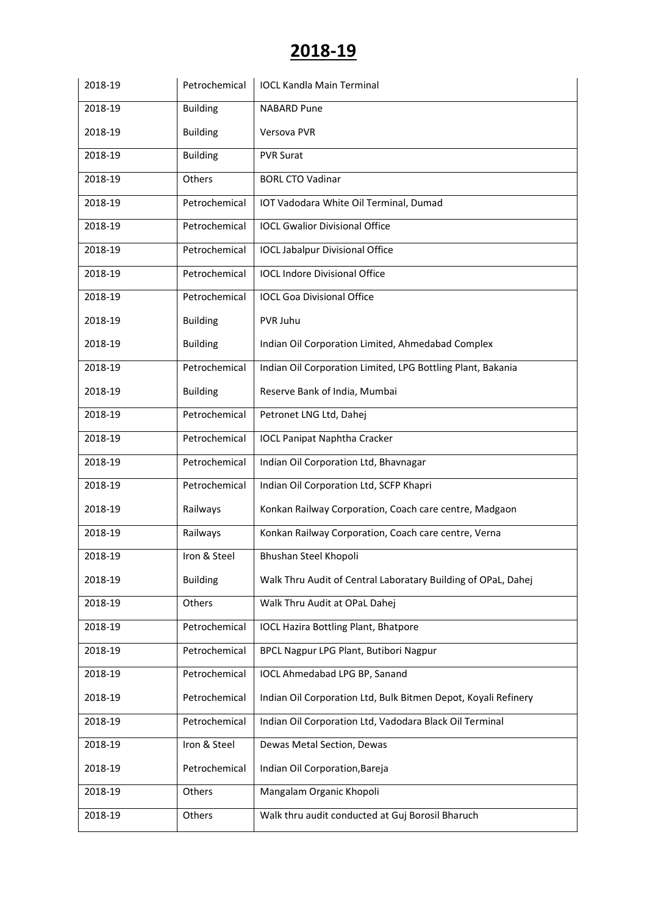| 2018-19 | Petrochemical   | <b>IOCL Kandla Main Terminal</b>                               |
|---------|-----------------|----------------------------------------------------------------|
| 2018-19 | <b>Building</b> | <b>NABARD Pune</b>                                             |
| 2018-19 | <b>Building</b> | Versova PVR                                                    |
| 2018-19 | <b>Building</b> | <b>PVR Surat</b>                                               |
| 2018-19 | Others          | <b>BORL CTO Vadinar</b>                                        |
| 2018-19 | Petrochemical   | IOT Vadodara White Oil Terminal, Dumad                         |
| 2018-19 | Petrochemical   | <b>IOCL Gwalior Divisional Office</b>                          |
| 2018-19 | Petrochemical   | <b>IOCL Jabalpur Divisional Office</b>                         |
| 2018-19 | Petrochemical   | <b>IOCL Indore Divisional Office</b>                           |
| 2018-19 | Petrochemical   | <b>IOCL Goa Divisional Office</b>                              |
| 2018-19 | <b>Building</b> | PVR Juhu                                                       |
| 2018-19 | <b>Building</b> | Indian Oil Corporation Limited, Ahmedabad Complex              |
| 2018-19 | Petrochemical   | Indian Oil Corporation Limited, LPG Bottling Plant, Bakania    |
| 2018-19 | <b>Building</b> | Reserve Bank of India, Mumbai                                  |
| 2018-19 | Petrochemical   | Petronet LNG Ltd, Dahej                                        |
| 2018-19 | Petrochemical   | <b>IOCL Panipat Naphtha Cracker</b>                            |
| 2018-19 | Petrochemical   | Indian Oil Corporation Ltd, Bhavnagar                          |
| 2018-19 | Petrochemical   | Indian Oil Corporation Ltd, SCFP Khapri                        |
| 2018-19 | Railways        | Konkan Railway Corporation, Coach care centre, Madgaon         |
| 2018-19 | Railways        | Konkan Railway Corporation, Coach care centre, Verna           |
| 2018-19 | Iron & Steel    | Bhushan Steel Khopoli                                          |
| 2018-19 | <b>Building</b> | Walk Thru Audit of Central Laboratary Building of OPaL, Dahej  |
| 2018-19 | Others          | Walk Thru Audit at OPaL Dahej                                  |
| 2018-19 | Petrochemical   | <b>IOCL Hazira Bottling Plant, Bhatpore</b>                    |
| 2018-19 | Petrochemical   | BPCL Nagpur LPG Plant, Butibori Nagpur                         |
| 2018-19 | Petrochemical   | IOCL Ahmedabad LPG BP, Sanand                                  |
| 2018-19 | Petrochemical   | Indian Oil Corporation Ltd, Bulk Bitmen Depot, Koyali Refinery |
| 2018-19 | Petrochemical   | Indian Oil Corporation Ltd, Vadodara Black Oil Terminal        |
| 2018-19 | Iron & Steel    | Dewas Metal Section, Dewas                                     |
| 2018-19 | Petrochemical   | Indian Oil Corporation, Bareja                                 |
| 2018-19 | Others          | Mangalam Organic Khopoli                                       |
| 2018-19 | Others          | Walk thru audit conducted at Guj Borosil Bharuch               |
|         |                 |                                                                |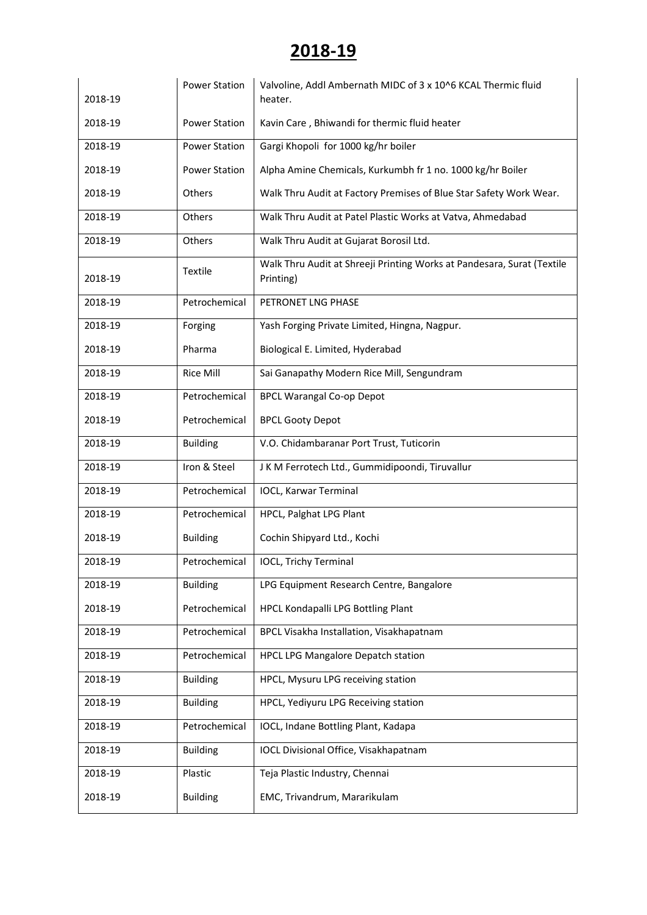| 2018-19 | <b>Power Station</b> | Valvoline, Addl Ambernath MIDC of 3 x 10^6 KCAL Thermic fluid<br>heater.            |
|---------|----------------------|-------------------------------------------------------------------------------------|
| 2018-19 | <b>Power Station</b> | Kavin Care, Bhiwandi for thermic fluid heater                                       |
| 2018-19 | <b>Power Station</b> | Gargi Khopoli for 1000 kg/hr boiler                                                 |
| 2018-19 | <b>Power Station</b> | Alpha Amine Chemicals, Kurkumbh fr 1 no. 1000 kg/hr Boiler                          |
| 2018-19 | Others               | Walk Thru Audit at Factory Premises of Blue Star Safety Work Wear.                  |
| 2018-19 | Others               | Walk Thru Audit at Patel Plastic Works at Vatva, Ahmedabad                          |
| 2018-19 | Others               | Walk Thru Audit at Gujarat Borosil Ltd.                                             |
| 2018-19 | Textile              | Walk Thru Audit at Shreeji Printing Works at Pandesara, Surat (Textile<br>Printing) |
| 2018-19 | Petrochemical        | PETRONET LNG PHASE                                                                  |
| 2018-19 | Forging              | Yash Forging Private Limited, Hingna, Nagpur.                                       |
| 2018-19 | Pharma               | Biological E. Limited, Hyderabad                                                    |
| 2018-19 | <b>Rice Mill</b>     | Sai Ganapathy Modern Rice Mill, Sengundram                                          |
| 2018-19 | Petrochemical        | <b>BPCL Warangal Co-op Depot</b>                                                    |
| 2018-19 | Petrochemical        | <b>BPCL Gooty Depot</b>                                                             |
| 2018-19 | <b>Building</b>      | V.O. Chidambaranar Port Trust, Tuticorin                                            |
| 2018-19 | Iron & Steel         | J K M Ferrotech Ltd., Gummidipoondi, Tiruvallur                                     |
| 2018-19 | Petrochemical        | <b>IOCL, Karwar Terminal</b>                                                        |
| 2018-19 | Petrochemical        | HPCL, Palghat LPG Plant                                                             |
| 2018-19 | <b>Building</b>      | Cochin Shipyard Ltd., Kochi                                                         |
| 2018-19 | Petrochemical        | <b>IOCL, Trichy Terminal</b>                                                        |
| 2018-19 | <b>Building</b>      | LPG Equipment Research Centre, Bangalore                                            |
| 2018-19 | Petrochemical        | HPCL Kondapalli LPG Bottling Plant                                                  |
| 2018-19 | Petrochemical        | BPCL Visakha Installation, Visakhapatnam                                            |
| 2018-19 | Petrochemical        | HPCL LPG Mangalore Depatch station                                                  |
| 2018-19 | <b>Building</b>      | HPCL, Mysuru LPG receiving station                                                  |
| 2018-19 | <b>Building</b>      | HPCL, Yediyuru LPG Receiving station                                                |
| 2018-19 | Petrochemical        | IOCL, Indane Bottling Plant, Kadapa                                                 |
| 2018-19 | <b>Building</b>      | IOCL Divisional Office, Visakhapatnam                                               |
| 2018-19 | Plastic              | Teja Plastic Industry, Chennai                                                      |
| 2018-19 | <b>Building</b>      | EMC, Trivandrum, Mararikulam                                                        |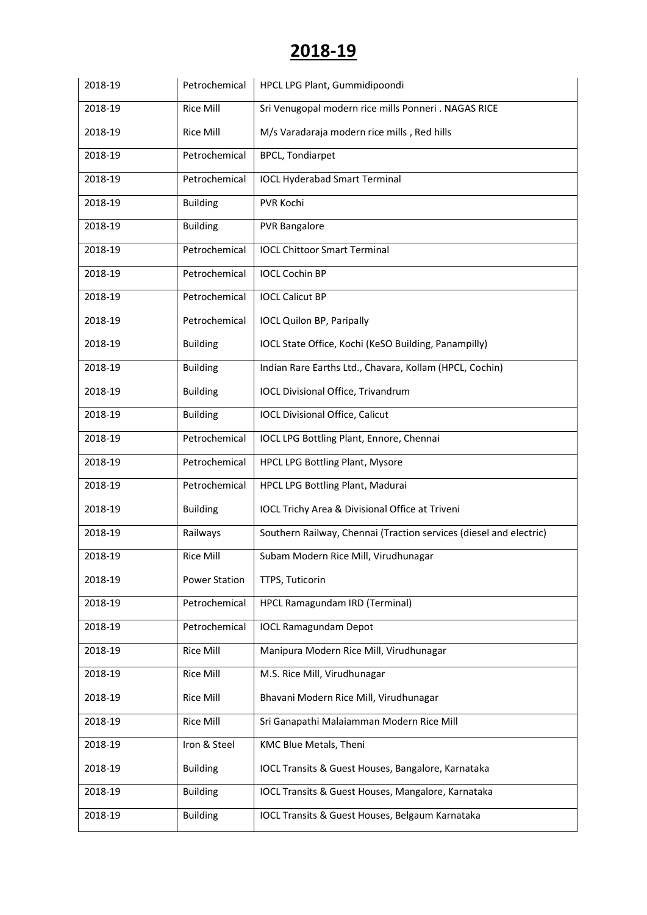| 2018-19 | Petrochemical        | HPCL LPG Plant, Gummidipoondi                                      |
|---------|----------------------|--------------------------------------------------------------------|
| 2018-19 | <b>Rice Mill</b>     | Sri Venugopal modern rice mills Ponneri . NAGAS RICE               |
| 2018-19 | <b>Rice Mill</b>     | M/s Varadaraja modern rice mills, Red hills                        |
| 2018-19 | Petrochemical        | <b>BPCL, Tondiarpet</b>                                            |
| 2018-19 | Petrochemical        | <b>IOCL Hyderabad Smart Terminal</b>                               |
| 2018-19 | <b>Building</b>      | PVR Kochi                                                          |
| 2018-19 | <b>Building</b>      | <b>PVR Bangalore</b>                                               |
| 2018-19 | Petrochemical        | <b>IOCL Chittoor Smart Terminal</b>                                |
| 2018-19 | Petrochemical        | <b>IOCL Cochin BP</b>                                              |
| 2018-19 | Petrochemical        | <b>IOCL Calicut BP</b>                                             |
| 2018-19 | Petrochemical        | <b>IOCL Quilon BP, Paripally</b>                                   |
| 2018-19 | <b>Building</b>      | IOCL State Office, Kochi (KeSO Building, Panampilly)               |
| 2018-19 | <b>Building</b>      | Indian Rare Earths Ltd., Chavara, Kollam (HPCL, Cochin)            |
| 2018-19 | <b>Building</b>      | IOCL Divisional Office, Trivandrum                                 |
| 2018-19 | <b>Building</b>      | <b>IOCL Divisional Office, Calicut</b>                             |
| 2018-19 | Petrochemical        | IOCL LPG Bottling Plant, Ennore, Chennai                           |
| 2018-19 | Petrochemical        | <b>HPCL LPG Bottling Plant, Mysore</b>                             |
| 2018-19 | Petrochemical        | HPCL LPG Bottling Plant, Madurai                                   |
| 2018-19 | <b>Building</b>      | IOCL Trichy Area & Divisional Office at Triveni                    |
| 2018-19 | Railways             | Southern Railway, Chennai (Traction services (diesel and electric) |
| 2018-19 | <b>Rice Mill</b>     | Subam Modern Rice Mill, Virudhunagar                               |
| 2018-19 | <b>Power Station</b> | TTPS, Tuticorin                                                    |
| 2018-19 | Petrochemical        | HPCL Ramagundam IRD (Terminal)                                     |
| 2018-19 | Petrochemical        | <b>IOCL Ramagundam Depot</b>                                       |
| 2018-19 | <b>Rice Mill</b>     | Manipura Modern Rice Mill, Virudhunagar                            |
| 2018-19 | <b>Rice Mill</b>     | M.S. Rice Mill, Virudhunagar                                       |
| 2018-19 | Rice Mill            | Bhavani Modern Rice Mill, Virudhunagar                             |
| 2018-19 | <b>Rice Mill</b>     | Sri Ganapathi Malaiamman Modern Rice Mill                          |
| 2018-19 | Iron & Steel         | KMC Blue Metals, Theni                                             |
| 2018-19 | <b>Building</b>      | IOCL Transits & Guest Houses, Bangalore, Karnataka                 |
| 2018-19 | <b>Building</b>      | IOCL Transits & Guest Houses, Mangalore, Karnataka                 |
| 2018-19 | <b>Building</b>      | IOCL Transits & Guest Houses, Belgaum Karnataka                    |
|         |                      |                                                                    |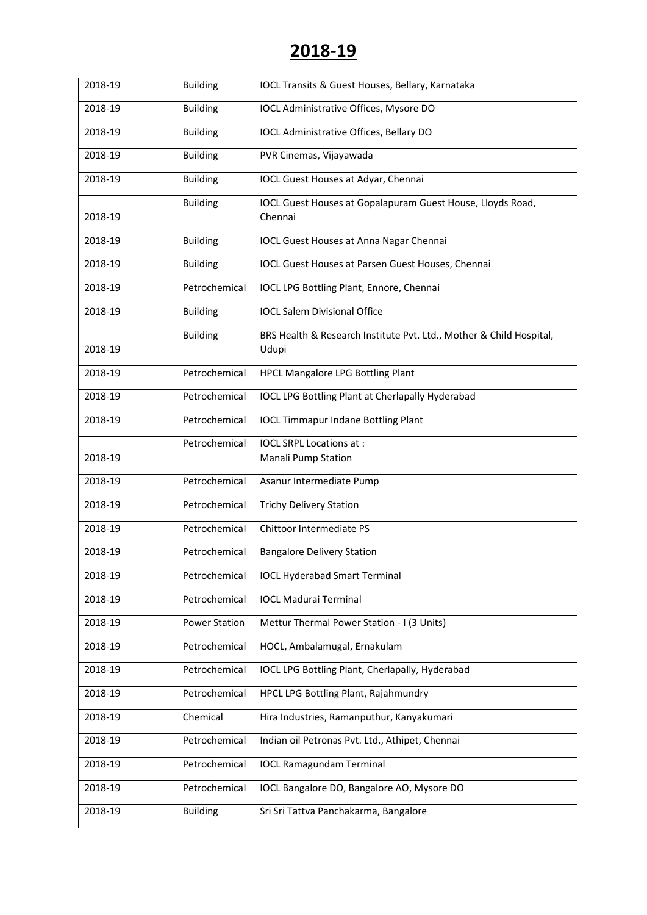| 2018-19 | <b>Building</b>      | IOCL Transits & Guest Houses, Bellary, Karnataka                             |
|---------|----------------------|------------------------------------------------------------------------------|
| 2018-19 | <b>Building</b>      | IOCL Administrative Offices, Mysore DO                                       |
| 2018-19 | <b>Building</b>      | IOCL Administrative Offices, Bellary DO                                      |
| 2018-19 | <b>Building</b>      | PVR Cinemas, Vijayawada                                                      |
| 2018-19 | <b>Building</b>      | IOCL Guest Houses at Adyar, Chennai                                          |
| 2018-19 | <b>Building</b>      | IOCL Guest Houses at Gopalapuram Guest House, Lloyds Road,<br>Chennai        |
| 2018-19 | <b>Building</b>      | <b>IOCL Guest Houses at Anna Nagar Chennai</b>                               |
| 2018-19 | <b>Building</b>      | IOCL Guest Houses at Parsen Guest Houses, Chennai                            |
| 2018-19 | Petrochemical        | IOCL LPG Bottling Plant, Ennore, Chennai                                     |
| 2018-19 | <b>Building</b>      | <b>IOCL Salem Divisional Office</b>                                          |
| 2018-19 | <b>Building</b>      | BRS Health & Research Institute Pvt. Ltd., Mother & Child Hospital,<br>Udupi |
| 2018-19 | Petrochemical        | HPCL Mangalore LPG Bottling Plant                                            |
| 2018-19 | Petrochemical        | <b>IOCL LPG Bottling Plant at Cherlapally Hyderabad</b>                      |
| 2018-19 | Petrochemical        | <b>IOCL Timmapur Indane Bottling Plant</b>                                   |
| 2018-19 | Petrochemical        | <b>IOCL SRPL Locations at:</b><br><b>Manali Pump Station</b>                 |
| 2018-19 | Petrochemical        | Asanur Intermediate Pump                                                     |
| 2018-19 | Petrochemical        | <b>Trichy Delivery Station</b>                                               |
| 2018-19 | Petrochemical        | Chittoor Intermediate PS                                                     |
| 2018-19 | Petrochemical        | <b>Bangalore Delivery Station</b>                                            |
| 2018-19 | Petrochemical        | <b>IOCL Hyderabad Smart Terminal</b>                                         |
| 2018-19 | Petrochemical        | <b>IOCL Madurai Terminal</b>                                                 |
| 2018-19 | <b>Power Station</b> | Mettur Thermal Power Station - I (3 Units)                                   |
| 2018-19 | Petrochemical        | HOCL, Ambalamugal, Ernakulam                                                 |
| 2018-19 | Petrochemical        | IOCL LPG Bottling Plant, Cherlapally, Hyderabad                              |
| 2018-19 | Petrochemical        | HPCL LPG Bottling Plant, Rajahmundry                                         |
| 2018-19 | Chemical             | Hira Industries, Ramanputhur, Kanyakumari                                    |
| 2018-19 | Petrochemical        | Indian oil Petronas Pvt. Ltd., Athipet, Chennai                              |
| 2018-19 | Petrochemical        | <b>IOCL Ramagundam Terminal</b>                                              |
| 2018-19 | Petrochemical        | IOCL Bangalore DO, Bangalore AO, Mysore DO                                   |
| 2018-19 | <b>Building</b>      | Sri Sri Tattva Panchakarma, Bangalore                                        |